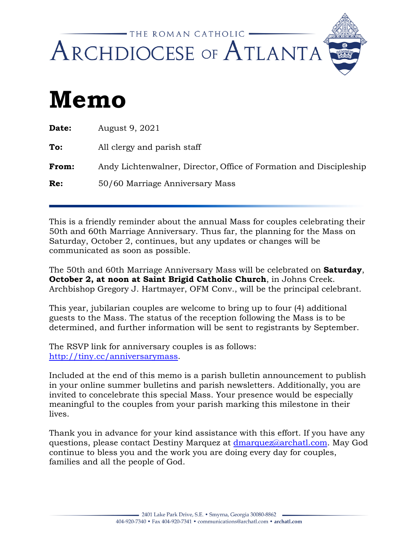

## **Memo**

| Date: | August 9, 2021                                                     |
|-------|--------------------------------------------------------------------|
| To:   | All clergy and parish staff                                        |
| From: | Andy Lichtenwalner, Director, Office of Formation and Discipleship |
| Re:   | 50/60 Marriage Anniversary Mass                                    |

This is a friendly reminder about the annual Mass for couples celebrating their 50th and 60th Marriage Anniversary. Thus far, the planning for the Mass on Saturday, October 2, continues, but any updates or changes will be communicated as soon as possible.

The 50th and 60th Marriage Anniversary Mass will be celebrated on **Saturday**, **October 2, at noon at Saint Brigid Catholic Church**, in Johns Creek. Archbishop Gregory J. Hartmayer, OFM Conv., will be the principal celebrant.

This year, jubilarian couples are welcome to bring up to four (4) additional guests to the Mass. The status of the reception following the Mass is to be determined, and further information will be sent to registrants by September.

The RSVP link for anniversary couples is as follows: [http://tiny.cc/anniversarymass.](http://tiny.cc/anniversarymass)

Included at the end of this memo is a parish bulletin announcement to publish in your online summer bulletins and parish newsletters. Additionally, you are invited to concelebrate this special Mass. Your presence would be especially meaningful to the couples from your parish marking this milestone in their lives.

Thank you in advance for your kind assistance with this effort. If you have any questions, please contact Destiny Marquez at [dmarquez@archatl.com.](mailto:dmarquez@archatl.com) May God continue to bless you and the work you are doing every day for couples, families and all the people of God.